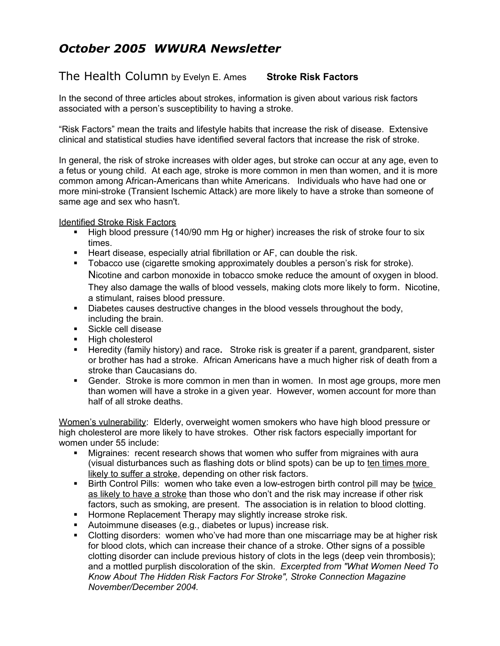## *October 2005 WWURA Newsletter*

## The Health Column by Evelyn E. Ames **Stroke Risk Factors**

In the second of three articles about strokes, information is given about various risk factors associated with a person's susceptibility to having a stroke.

"Risk Factors" mean the traits and lifestyle habits that increase the risk of disease. Extensive clinical and statistical studies have identified several factors that increase the risk of stroke.

In general, the risk of stroke increases with older ages, but stroke can occur at any age, even to a fetus or young child. At each age, stroke is more common in men than women, and it is more common among African-Americans than white Americans. Individuals who have had one or more mini-stroke (Transient Ischemic Attack) are more likely to have a stroke than someone of same age and sex who hasn't.

Identified Stroke Risk Factors

- High blood pressure (140/90 mm Hg or higher) increases the risk of stroke four to six times.
- **Heart disease, especially atrial fibrillation or AF, can double the risk.**
- **Tobacco use (cigarette smoking approximately doubles a person's risk for stroke).** Nicotine and carbon monoxide in tobacco smoke reduce the amount of oxygen in blood. They also damage the walls of blood vessels, making clots more likely to form. Nicotine, a stimulant, raises blood pressure.
- Diabetes causes destructive changes in the blood vessels throughout the body, including the brain.
- **Sickle cell disease**
- High cholesterol
- Heredity (family history) and race**.** Stroke risk is greater if a parent, grandparent, sister or brother has had a stroke. African Americans have a much higher risk of death from a stroke than Caucasians do.
- Gender. Stroke is more common in men than in women. In most age groups, more men than women will have a stroke in a given year. However, women account for more than half of all stroke deaths.

Women's vulnerability: Elderly, overweight women smokers who have high blood pressure or high cholesterol are more likely to have strokes. Other risk factors especially important for women under 55 include:

- **Migraines: recent research shows that women who suffer from migraines with aurally** (visual disturbances such as flashing dots or blind spots) can be up to ten times more likely to suffer a stroke, depending on other risk factors.
- Birth Control Pills: women who take even a low-estrogen birth control pill may be twice as likely to have a stroke than those who don't and the risk may increase if other risk factors, such as smoking, are present. The association is in relation to blood clotting.
- **Hormone Replacement Therapy may slightly increase stroke risk.**
- Autoimmune diseases (e.g., diabetes or lupus) increase risk.
- Clotting disorders: women who've had more than one miscarriage may be at higher risk for blood clots, which can increase their chance of a stroke. Other signs of a possible clotting disorder can include previous history of clots in the legs (deep vein thrombosis); and a mottled purplish discoloration of the skin. *Excerpted from "What Women Need To Know About The Hidden Risk Factors For Stroke", Stroke Connection Magazine November/December 2004.*